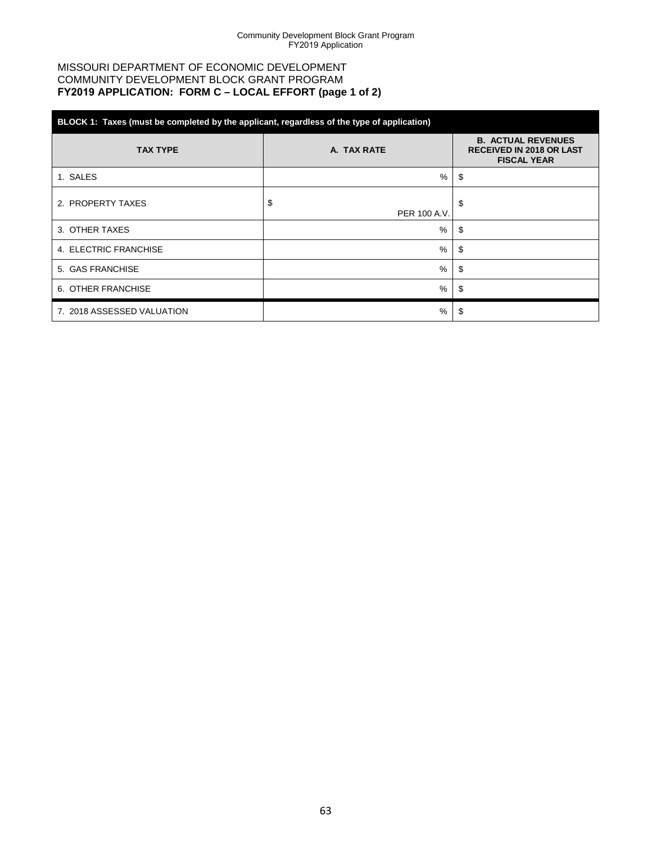### MISSOURI DEPARTMENT OF ECONOMIC DEVELOPMENT COMMUNITY DEVELOPMENT BLOCK GRANT PROGRAM **FY2019 APPLICATION: FORM C – LOCAL EFFORT (page 1 of 2)**

| BLOCK 1: Taxes (must be completed by the applicant, regardless of the type of application) |                    |                                                                                    |  |  |  |  |  |  |  |
|--------------------------------------------------------------------------------------------|--------------------|------------------------------------------------------------------------------------|--|--|--|--|--|--|--|
| <b>TAX TYPE</b>                                                                            | A. TAX RATE        | <b>B. ACTUAL REVENUES</b><br><b>RECEIVED IN 2018 OR LAST</b><br><b>FISCAL YEAR</b> |  |  |  |  |  |  |  |
| 1. SALES                                                                                   | %                  | \$                                                                                 |  |  |  |  |  |  |  |
| 2. PROPERTY TAXES                                                                          | \$<br>PER 100 A.V. | \$                                                                                 |  |  |  |  |  |  |  |
| 3. OTHER TAXES                                                                             | %                  | \$                                                                                 |  |  |  |  |  |  |  |
| 4. ELECTRIC FRANCHISE                                                                      | %                  | \$                                                                                 |  |  |  |  |  |  |  |
| 5. GAS FRANCHISE                                                                           | %                  | \$                                                                                 |  |  |  |  |  |  |  |
| 6. OTHER FRANCHISE                                                                         | %                  | \$                                                                                 |  |  |  |  |  |  |  |
| 7. 2018 ASSESSED VALUATION                                                                 | %                  | S.                                                                                 |  |  |  |  |  |  |  |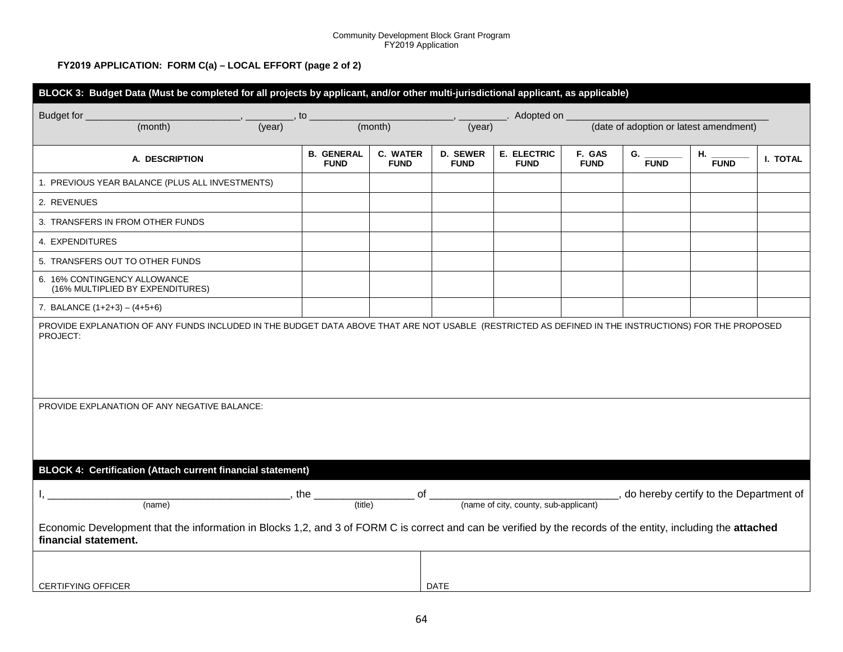#### Community Development Block Grant Program FY2019 Application

#### **FY2019 APPLICATION: FORM C(a) – LOCAL EFFORT (page 2 of 2)**

| BLOCK 3: Budget Data (Must be completed for all projects by applicant, and/or other multi-jurisdictional applicant, as applicable)                                                   |                                  |                                |                                |                                                                                   |                                        |                   |                   |          |  |  |  |
|--------------------------------------------------------------------------------------------------------------------------------------------------------------------------------------|----------------------------------|--------------------------------|--------------------------------|-----------------------------------------------------------------------------------|----------------------------------------|-------------------|-------------------|----------|--|--|--|
| Budget for _                                                                                                                                                                         | , to                             | Adopted on                     |                                |                                                                                   |                                        |                   |                   |          |  |  |  |
| (month)                                                                                                                                                                              | (year)                           | (month)<br>(year)              |                                |                                                                                   | (date of adoption or latest amendment) |                   |                   |          |  |  |  |
| A. DESCRIPTION                                                                                                                                                                       | <b>B. GENERAL</b><br><b>FUND</b> | <b>C. WATER</b><br><b>FUND</b> | <b>D. SEWER</b><br><b>FUND</b> | E. ELECTRIC<br><b>FUND</b>                                                        | F. GAS<br><b>FUND</b>                  | G.<br><b>FUND</b> | Η.<br><b>FUND</b> | I. TOTAL |  |  |  |
| 1. PREVIOUS YEAR BALANCE (PLUS ALL INVESTMENTS)                                                                                                                                      |                                  |                                |                                |                                                                                   |                                        |                   |                   |          |  |  |  |
| 2. REVENUES                                                                                                                                                                          |                                  |                                |                                |                                                                                   |                                        |                   |                   |          |  |  |  |
| 3. TRANSFERS IN FROM OTHER FUNDS                                                                                                                                                     |                                  |                                |                                |                                                                                   |                                        |                   |                   |          |  |  |  |
| 4. EXPENDITURES                                                                                                                                                                      |                                  |                                |                                |                                                                                   |                                        |                   |                   |          |  |  |  |
| 5. TRANSFERS OUT TO OTHER FUNDS                                                                                                                                                      |                                  |                                |                                |                                                                                   |                                        |                   |                   |          |  |  |  |
| 6. 16% CONTINGENCY ALLOWANCE<br>(16% MULTIPLIED BY EXPENDITURES)                                                                                                                     |                                  |                                |                                |                                                                                   |                                        |                   |                   |          |  |  |  |
| 7. BALANCE $(1+2+3) - (4+5+6)$                                                                                                                                                       |                                  |                                |                                |                                                                                   |                                        |                   |                   |          |  |  |  |
| PROVIDE EXPLANATION OF ANY FUNDS INCLUDED IN THE BUDGET DATA ABOVE THAT ARE NOT USABLE (RESTRICTED AS DEFINED IN THE INSTRUCTIONS) FOR THE PROPOSED<br>PROJECT:                      |                                  |                                |                                |                                                                                   |                                        |                   |                   |          |  |  |  |
| PROVIDE EXPLANATION OF ANY NEGATIVE BALANCE:                                                                                                                                         |                                  |                                |                                |                                                                                   |                                        |                   |                   |          |  |  |  |
| BLOCK 4: Certification (Attach current financial statement)                                                                                                                          |                                  |                                |                                |                                                                                   |                                        |                   |                   |          |  |  |  |
| (name)                                                                                                                                                                               | the<br>(title)                   | of                             |                                | , do hereby certify to the Department of<br>(name of city, county, sub-applicant) |                                        |                   |                   |          |  |  |  |
| Economic Development that the information in Blocks 1,2, and 3 of FORM C is correct and can be verified by the records of the entity, including the attached<br>financial statement. |                                  |                                |                                |                                                                                   |                                        |                   |                   |          |  |  |  |
| <b>CERTIFYING OFFICER</b>                                                                                                                                                            |                                  |                                | <b>DATE</b>                    |                                                                                   |                                        |                   |                   |          |  |  |  |
|                                                                                                                                                                                      |                                  |                                |                                |                                                                                   |                                        |                   |                   |          |  |  |  |